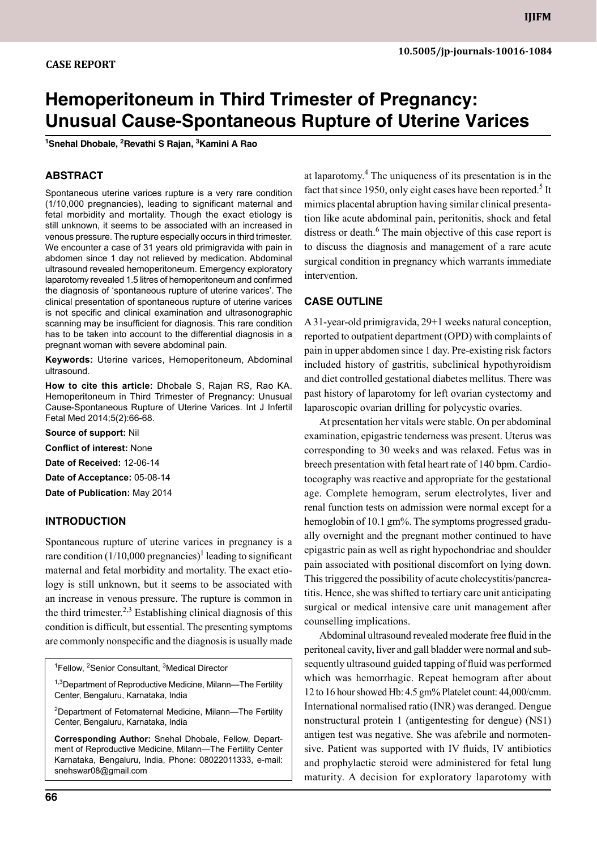# **Hemoperitoneum in Third Trimester of Pregnancy: Unusual Cause-Spontaneous Rupture of Uterine Varices**

**1 Snehal Dhobale, 2 Revathi S Rajan, 3 Kamini A Rao**

## **ABSTRACT**

Spontaneous uterine varices rupture is a very rare condition (1/10,000 pregnancies), leading to significant maternal and fetal morbidity and mortality. Though the exact etiology is still unknown, it seems to be associated with an increased in venous pressure. The rupture especially occurs in third trimester. We encounter a case of 31 years old primigravida with pain in abdomen since 1 day not relieved by medication. Abdominal ultrasound revealed hemoperitoneum. Emergency exploratory laparotomy revealed 1.5 litres of hemoperitoneum and confirmed the diagnosis of 'spontaneous rupture of uterine varices'. The clinical presentation of spontaneous rupture of uterine varices is not specific and clinical examination and ultrasonographic scanning may be insufficient for diagnosis. This rare condition has to be taken into account to the differential diagnosis in a pregnant woman with severe abdominal pain.

**Keywords:** Uterine varices, hemoperitoneum, abdominal ultrasound.

**How to cite this article:** Dhobale S, Rajan RS, Rao KA. Hemoperitoneum in Third Trimester of Pregnancy: Unusual Cause-Spontaneous Rupture of Uterine Varices. Int J Infertil Fetal Med 2014;5(2):66-68.

**Source of support:** Nil

**Conflict of interest:** None

**Date of Received:** 12-06-14

**Date of Acceptance:** 05-08-14

**Date of Publication:** May 2014

### **Introduction**

Spontaneous rupture of uterine varices in pregnancy is a rare condition  $(1/10,000$  pregnancies)<sup>1</sup> leading to significant maternal and fetal morbidity and mortality. The exact etiology is still unknown, but it seems to be associated with an increase in venous pressure. The rupture is common in the third trimester.<sup>2,3</sup> Establishing clinical diagnosis of this condition is difficult, but essential. The presenting symptoms are commonly nonspecific and the diagnosis is usually made

<sup>1</sup>Fellow, <sup>2</sup>Senior Consultant, <sup>3</sup>Medical Director

<sup>1,3</sup>Department of Reproductive Medicine, Milann—The Fertility Center, Bengaluru, Karnataka, India

<sup>2</sup>Department of Fetomaternal Medicine, Milann-The Fertility Center, Bengaluru, Karnataka, India

**Corresponding Author:** Snehal Dhobale, Fellow, Department of Reproductive Medicine, Milann—The Fertility Center Karnataka, Bengaluru, India, Phone: 08022011333, e-mail: snehswar08@gmail.com

at laparotomy.<sup>4</sup> The uniqueness of its presentation is in the fact that since 1950, only eight cases have been reported.<sup>5</sup> It mimics placental abruption having similar clinical presentation like acute abdominal pain, peritonitis, shock and fetal distress or death.<sup>6</sup> The main objective of this case report is to discuss the diagnosis and management of a rare acute surgical condition in pregnancy which warrants immediate intervention.

### **Case Outline**

A 31-year-old primigravida, 29+1 weeks natural conception, reported to outpatient department (OPD) with complaints of pain in upper abdomen since 1 day. Pre-existing risk factors included history of gastritis, subclinical hypothyroidism and diet controlled gestational diabetes mellitus. There was past history of laparotomy for left ovarian cystectomy and laparoscopic ovarian drilling for polycystic ovaries.

At presentation her vitals were stable. On per abdominal examination, epigastric tenderness was present. Uterus was corresponding to 30 weeks and was relaxed. Fetus was in breech presentation with fetal heart rate of 140 bpm. Cardiotocography was reactive and appropriate for the gestational age. Complete hemogram, serum electrolytes, liver and renal function tests on admission were normal except for a hemoglobin of 10.1 gm%. The symptoms progressed gradually overnight and the pregnant mother continued to have epigastric pain as well as right hypochondriac and shoulder pain associated with positional discomfort on lying down. This triggered the possibility of acute cholecystitis/pancreatitis. Hence, she was shifted to tertiary care unit anticipating surgical or medical intensive care unit management after counselling implications.

Abdominal ultrasound revealed moderate free fluid in the peritoneal cavity, liver and gall bladder were normal and subsequently ultrasound guided tapping of fluid was performed which was hemorrhagic. Repeat hemogram after about 12 to 16 hour showed Hb: 4.5 gm% Platelet count: 44,000/cmm. International normalised ratio (INR) was deranged. Dengue nonstructural protein 1 (antigentesting for dengue) (NS1) antigen test was negative. She was afebrile and normotensive. Patient was supported with IV fluids, IV antibiotics and prophylactic steroid were administered for fetal lung maturity. A decision for exploratory laparotomy with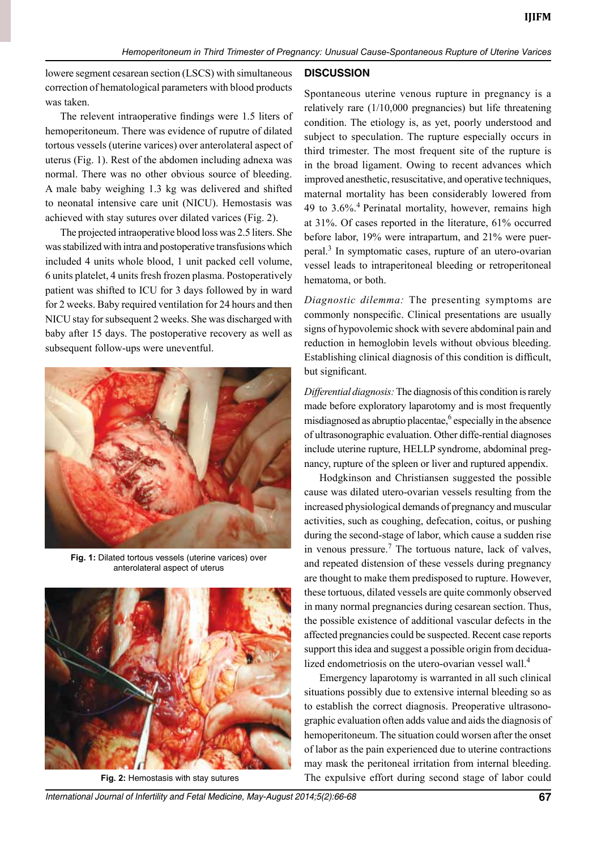lowere segment cesarean section (LSCS) with simultaneous correction of hematological parameters with blood products was taken.

The relevent intraoperative findings were 1.5 liters of hemoperitoneum. There was evidence of ruputre of dilated tortous vessels (uterine varices) over anterolateral aspect of uterus (Fig. 1). Rest of the abdomen including adnexa was normal. There was no other obvious source of bleeding. A male baby weighing 1.3 kg was delivered and shifted to neonatal intensive care unit (NICU). Hemostasis was achieved with stay sutures over dilated varices (Fig. 2).

The projected intraoperative blood loss was 2.5 liters. She was stabilized with intra and postoperative transfusions which included 4 units whole blood, 1 unit packed cell volume, 6 units platelet, 4 units fresh frozen plasma. Postoperatively patient was shifted to ICU for 3 days followed by in ward for 2 weeks. Baby required ventilation for 24 hours and then NICU stay for subsequent 2 weeks. She was discharged with baby after 15 days. The postoperative recovery as well as subsequent follow-ups were uneventful.



**Fig. 1:** Dilated tortous vessels (uterine varices) over anterolateral aspect of uterus



#### **Discussion**

Spontaneous uterine venous rupture in pregnancy is a relatively rare (1/10,000 pregnancies) but life threatening condition. The etiology is, as yet, poorly understood and subject to speculation. The rupture especially occurs in third trimester. The most frequent site of the rupture is in the broad ligament. Owing to recent advances which improved anesthetic, resuscitative, and operative techniques, maternal mortality has been considerably lowered from 49 to  $3.6\%$ <sup>4</sup> Perinatal mortality, however, remains high at 31%. Of cases reported in the literature, 61% occurred before labor, 19% were intrapartum, and 21% were puerperal.<sup>3</sup> In symptomatic cases, rupture of an utero-ovarian vessel leads to intraperitoneal bleeding or retroperitoneal hematoma, or both.

*Diagnostic dilemma:* The presenting symptoms are commonly nonspecific. Clinical presentations are usually signs of hypovolemic shock with severe abdominal pain and reduction in hemoglobin levels without obvious bleeding. Establishing clinical diagnosis of this condition is difficult, but significant.

*Differential diagnosis:* The diagnosis of this condition is rarely made before exploratory laparotomy and is most frequently misdiagnosed as abruptio placentae,<sup>6</sup> especially in the absence of ultrasonographic evaluation. Other diffe-rential diagnoses include uterine rupture, HELLP syndrome, abdominal pregnancy, rupture of the spleen or liver and ruptured appendix.

Hodgkinson and Christiansen suggested the possible cause was dilated utero-ovarian vessels resulting from the increased physiological demands of pregnancy and muscular activities, such as coughing, defecation, coitus, or pushing during the second-stage of labor, which cause a sudden rise in venous pressure.<sup>7</sup> The tortuous nature, lack of valves, and repeated distension of these vessels during pregnancy are thought to make them predisposed to rupture. However, these tortuous, dilated vessels are quite commonly observed in many normal pregnancies during cesarean section. Thus, the possible existence of additional vascular defects in the affected pregnancies could be suspected. Recent case reports support this idea and suggest a possible origin from decidualized endometriosis on the utero-ovarian vessel wall.<sup>4</sup>

Emergency laparotomy is warranted in all such clinical situations possibly due to extensive internal bleeding so as to establish the correct diagnosis. Preoperative ultrasonographic evaluation often adds value and aids the diagnosis of hemoperitoneum. The situation could worsen after the onset of labor as the pain experienced due to uterine contractions may mask the peritoneal irritation from internal bleeding. **Fig. 2:** Hemostasis with stay sutures The expulsive effort during second stage of labor could